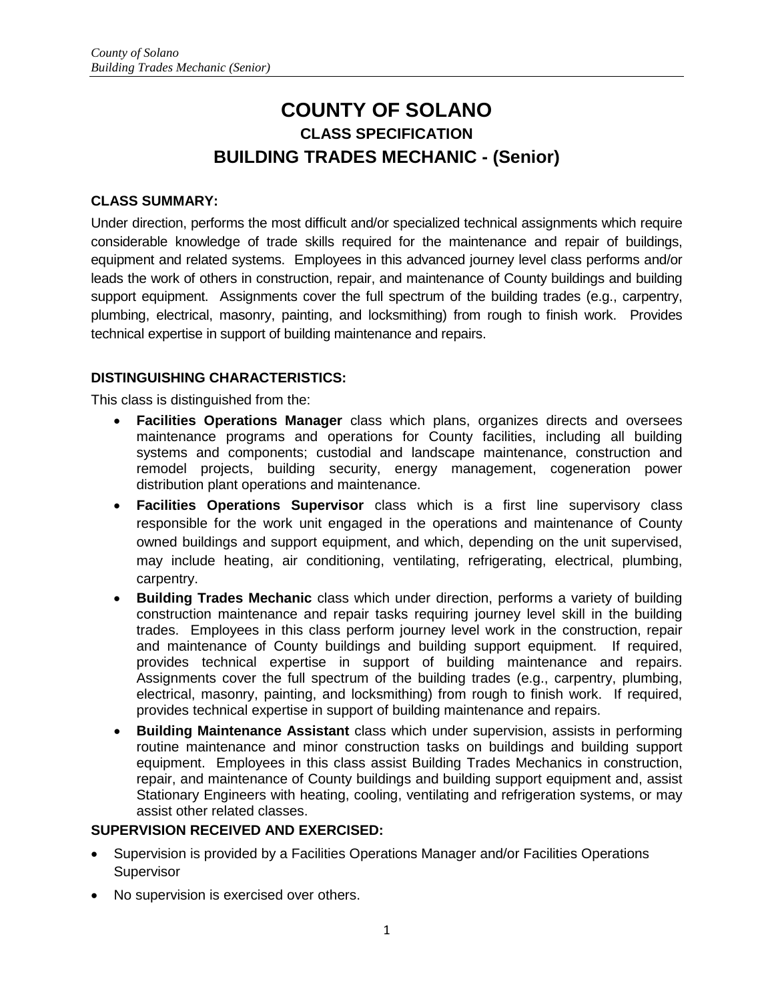# **COUNTY OF SOLANO CLASS SPECIFICATION BUILDING TRADES MECHANIC - (Senior)**

## **CLASS SUMMARY:**

Under direction, performs the most difficult and/or specialized technical assignments which require considerable knowledge of trade skills required for the maintenance and repair of buildings, equipment and related systems. Employees in this advanced journey level class performs and/or leads the work of others in construction, repair, and maintenance of County buildings and building support equipment. Assignments cover the full spectrum of the building trades (e.g., carpentry, plumbing, electrical, masonry, painting, and locksmithing) from rough to finish work. Provides technical expertise in support of building maintenance and repairs.

## **DISTINGUISHING CHARACTERISTICS:**

This class is distinguished from the:

- **Facilities Operations Manager** class which plans, organizes directs and oversees maintenance programs and operations for County facilities, including all building systems and components; custodial and landscape maintenance, construction and remodel projects, building security, energy management, cogeneration power distribution plant operations and maintenance.
- **Facilities Operations Supervisor** class which is a first line supervisory class responsible for the work unit engaged in the operations and maintenance of County owned buildings and support equipment, and which, depending on the unit supervised, may include heating, air conditioning, ventilating, refrigerating, electrical, plumbing, carpentry.
- **Building Trades Mechanic** class which under direction, performs a variety of building construction maintenance and repair tasks requiring journey level skill in the building trades. Employees in this class perform journey level work in the construction, repair and maintenance of County buildings and building support equipment. If required, provides technical expertise in support of building maintenance and repairs. Assignments cover the full spectrum of the building trades (e.g., carpentry, plumbing, electrical, masonry, painting, and locksmithing) from rough to finish work. If required, provides technical expertise in support of building maintenance and repairs.
- **Building Maintenance Assistant** class which under supervision, assists in performing routine maintenance and minor construction tasks on buildings and building support equipment. Employees in this class assist Building Trades Mechanics in construction, repair, and maintenance of County buildings and building support equipment and, assist Stationary Engineers with heating, cooling, ventilating and refrigeration systems, or may assist other related classes.

### **SUPERVISION RECEIVED AND EXERCISED:**

- Supervision is provided by a Facilities Operations Manager and/or Facilities Operations **Supervisor**
- No supervision is exercised over others.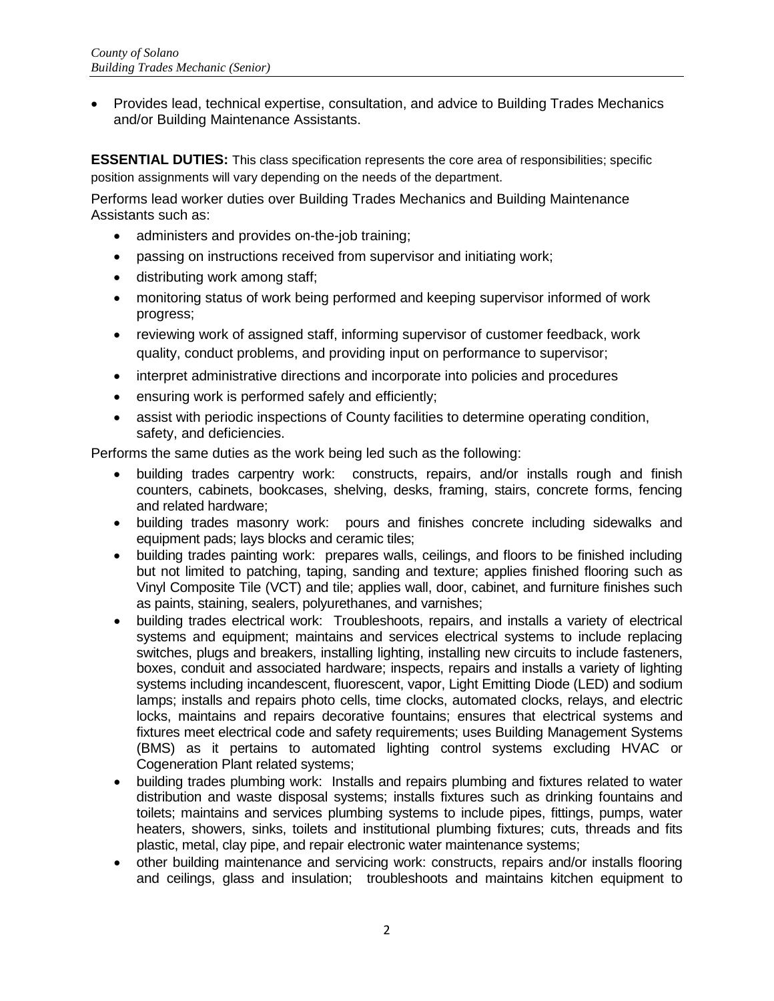• Provides lead, technical expertise, consultation, and advice to Building Trades Mechanics and/or Building Maintenance Assistants.

**ESSENTIAL DUTIES:** This class specification represents the core area of responsibilities; specific position assignments will vary depending on the needs of the department.

Performs lead worker duties over Building Trades Mechanics and Building Maintenance Assistants such as:

- administers and provides on-the-job training;
- passing on instructions received from supervisor and initiating work;
- distributing work among staff;
- monitoring status of work being performed and keeping supervisor informed of work progress;
- reviewing work of assigned staff, informing supervisor of customer feedback, work quality, conduct problems, and providing input on performance to supervisor;
- interpret administrative directions and incorporate into policies and procedures
- ensuring work is performed safely and efficiently;
- assist with periodic inspections of County facilities to determine operating condition, safety, and deficiencies.

Performs the same duties as the work being led such as the following:

- building trades carpentry work: constructs, repairs, and/or installs rough and finish counters, cabinets, bookcases, shelving, desks, framing, stairs, concrete forms, fencing and related hardware;
- building trades masonry work: pours and finishes concrete including sidewalks and equipment pads; lays blocks and ceramic tiles;
- building trades painting work: prepares walls, ceilings, and floors to be finished including but not limited to patching, taping, sanding and texture; applies finished flooring such as Vinyl Composite Tile (VCT) and tile; applies wall, door, cabinet, and furniture finishes such as paints, staining, sealers, polyurethanes, and varnishes;
- building trades electrical work: Troubleshoots, repairs, and installs a variety of electrical systems and equipment; maintains and services electrical systems to include replacing switches, plugs and breakers, installing lighting, installing new circuits to include fasteners, boxes, conduit and associated hardware; inspects, repairs and installs a variety of lighting systems including incandescent, fluorescent, vapor, Light Emitting Diode (LED) and sodium lamps; installs and repairs photo cells, time clocks, automated clocks, relays, and electric locks, maintains and repairs decorative fountains; ensures that electrical systems and fixtures meet electrical code and safety requirements; uses Building Management Systems (BMS) as it pertains to automated lighting control systems excluding HVAC or Cogeneration Plant related systems;
- building trades plumbing work: Installs and repairs plumbing and fixtures related to water distribution and waste disposal systems; installs fixtures such as drinking fountains and toilets; maintains and services plumbing systems to include pipes, fittings, pumps, water heaters, showers, sinks, toilets and institutional plumbing fixtures; cuts, threads and fits plastic, metal, clay pipe, and repair electronic water maintenance systems;
- other building maintenance and servicing work: constructs, repairs and/or installs flooring and ceilings, glass and insulation; troubleshoots and maintains kitchen equipment to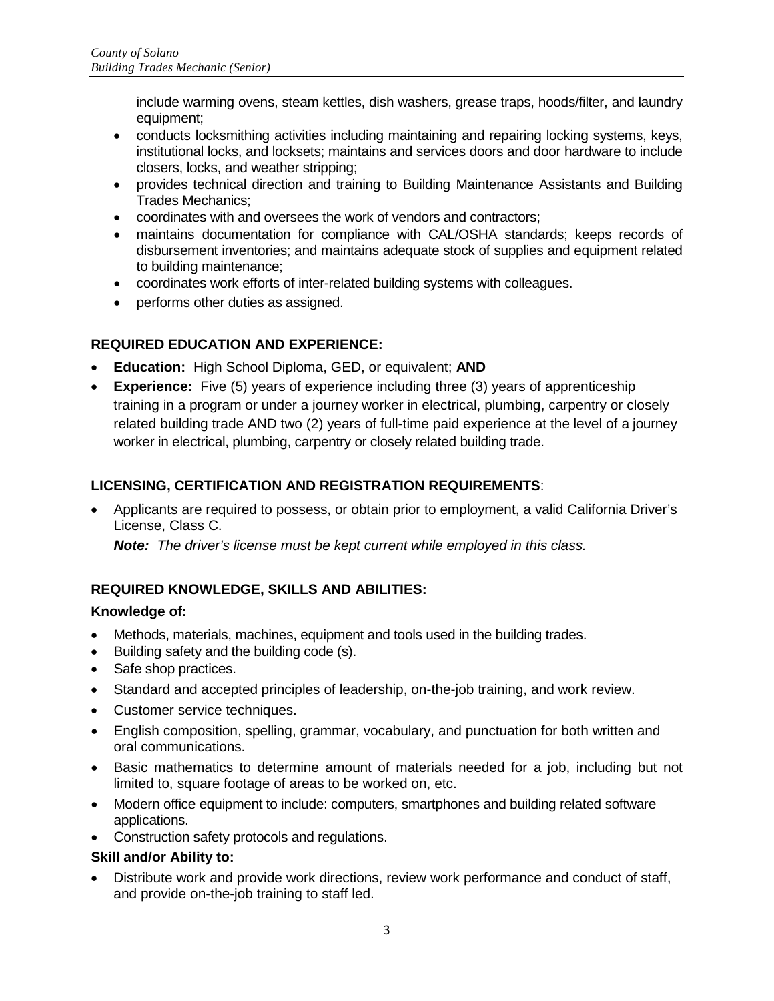include warming ovens, steam kettles, dish washers, grease traps, hoods/filter, and laundry equipment;

- conducts locksmithing activities including maintaining and repairing locking systems, keys, institutional locks, and locksets; maintains and services doors and door hardware to include closers, locks, and weather stripping;
- provides technical direction and training to Building Maintenance Assistants and Building Trades Mechanics;
- coordinates with and oversees the work of vendors and contractors;
- maintains documentation for compliance with CAL/OSHA standards; keeps records of disbursement inventories; and maintains adequate stock of supplies and equipment related to building maintenance;
- coordinates work efforts of inter-related building systems with colleagues.
- performs other duties as assigned.

# **REQUIRED EDUCATION AND EXPERIENCE:**

- **Education:** High School Diploma, GED, or equivalent; **AND**
- **Experience:** Five (5) years of experience including three (3) years of apprenticeship training in a program or under a journey worker in electrical, plumbing, carpentry or closely related building trade AND two (2) years of full-time paid experience at the level of a journey worker in electrical, plumbing, carpentry or closely related building trade.

# **LICENSING, CERTIFICATION AND REGISTRATION REQUIREMENTS**:

• Applicants are required to possess, or obtain prior to employment, a valid California Driver's License, Class C.

*Note: The driver's license must be kept current while employed in this class.* 

# **REQUIRED KNOWLEDGE, SKILLS AND ABILITIES:**

#### **Knowledge of:**

- Methods, materials, machines, equipment and tools used in the building trades.
- Building safety and the building code (s).
- Safe shop practices.
- Standard and accepted principles of leadership, on-the-job training, and work review.
- Customer service techniques.
- English composition, spelling, grammar, vocabulary, and punctuation for both written and oral communications.
- Basic mathematics to determine amount of materials needed for a job, including but not limited to, square footage of areas to be worked on, etc.
- Modern office equipment to include: computers, smartphones and building related software applications.
- Construction safety protocols and regulations.

#### **Skill and/or Ability to:**

• Distribute work and provide work directions, review work performance and conduct of staff, and provide on-the-job training to staff led.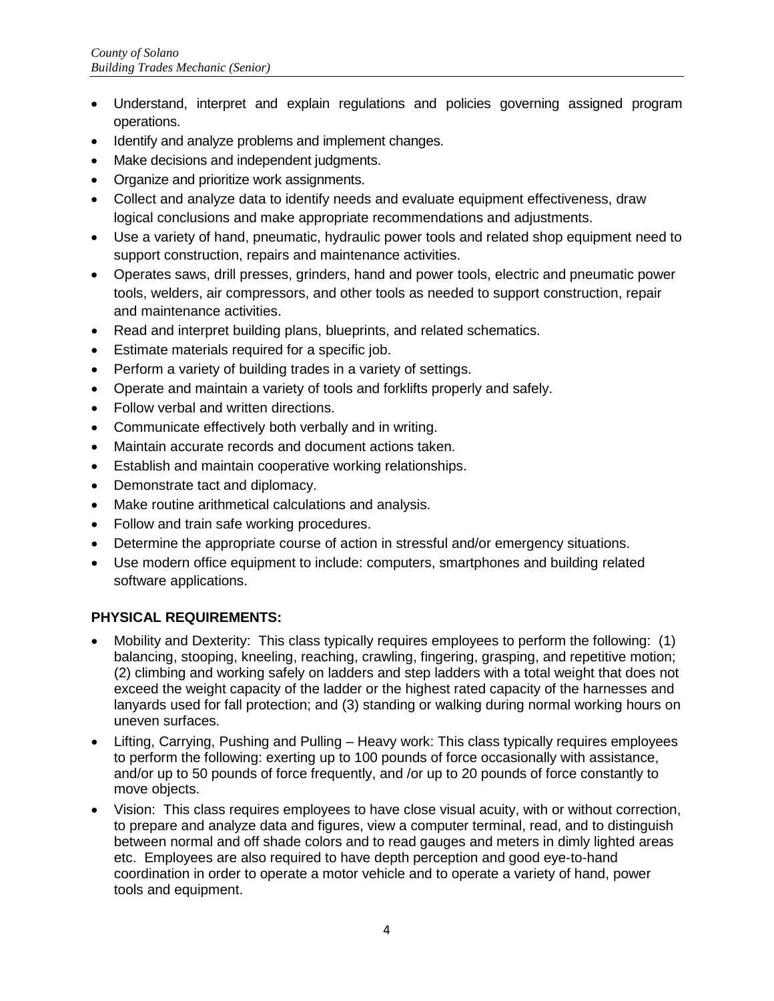- Understand, interpret and explain regulations and policies governing assigned program operations.
- Identify and analyze problems and implement changes.
- Make decisions and independent judgments.
- Organize and prioritize work assignments.
- Collect and analyze data to identify needs and evaluate equipment effectiveness, draw logical conclusions and make appropriate recommendations and adjustments.
- Use a variety of hand, pneumatic, hydraulic power tools and related shop equipment need to support construction, repairs and maintenance activities.
- Operates saws, drill presses, grinders, hand and power tools, electric and pneumatic power tools, welders, air compressors, and other tools as needed to support construction, repair and maintenance activities.
- Read and interpret building plans, blueprints, and related schematics.
- Estimate materials required for a specific job.
- Perform a variety of building trades in a variety of settings.
- Operate and maintain a variety of tools and forklifts properly and safely.
- Follow verbal and written directions.
- Communicate effectively both verbally and in writing.
- Maintain accurate records and document actions taken.
- Establish and maintain cooperative working relationships.
- Demonstrate tact and diplomacy.
- Make routine arithmetical calculations and analysis.
- Follow and train safe working procedures.
- Determine the appropriate course of action in stressful and/or emergency situations.
- Use modern office equipment to include: computers, smartphones and building related software applications.

# **PHYSICAL REQUIREMENTS:**

- Mobility and Dexterity: This class typically requires employees to perform the following: (1) balancing, stooping, kneeling, reaching, crawling, fingering, grasping, and repetitive motion; (2) climbing and working safely on ladders and step ladders with a total weight that does not exceed the weight capacity of the ladder or the highest rated capacity of the harnesses and lanyards used for fall protection; and (3) standing or walking during normal working hours on uneven surfaces.
- Lifting, Carrying, Pushing and Pulling Heavy work: This class typically requires employees to perform the following: exerting up to 100 pounds of force occasionally with assistance, and/or up to 50 pounds of force frequently, and /or up to 20 pounds of force constantly to move objects.
- Vision: This class requires employees to have close visual acuity, with or without correction, to prepare and analyze data and figures, view a computer terminal, read, and to distinguish between normal and off shade colors and to read gauges and meters in dimly lighted areas etc. Employees are also required to have depth perception and good eye-to-hand coordination in order to operate a motor vehicle and to operate a variety of hand, power tools and equipment.